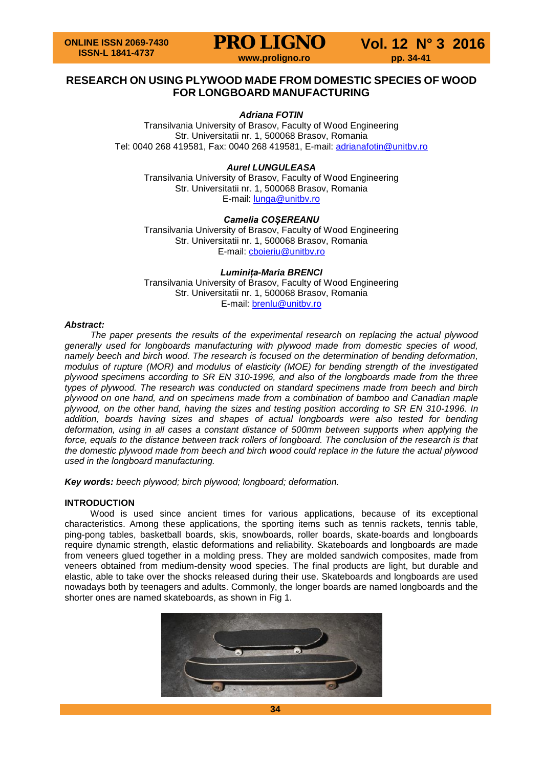

## **RESEARCH ON USING PLYWOOD MADE FROM DOMESTIC SPECIES OF WOOD FOR LONGBOARD MANUFACTURING**

## *Adriana FOTIN*

Transilvania University of Brasov, Faculty of Wood Engineering Str. Universitatii nr. 1, 500068 Brasov, Romania Tel: 0040 268 419581, Fax: 0040 268 419581, E-mail: [adrianafotin@unitbv.ro](mailto:adrianafotin@unitbv.ro)

## *Aurel LUNGULEASA*

Transilvania University of Brasov, Faculty of Wood Engineering Str. Universitatii nr. 1, 500068 Brasov, Romania E-mail: [lunga@unitbv.ro](mailto:lunga@unitbv.ro)

## *Camelia COȘEREANU*

Transilvania University of Brasov, Faculty of Wood Engineering Str. Universitatii nr. 1, 500068 Brasov, Romania E-mail: [cboieriu@unitbv.ro](mailto:cboieriu@unitbv.ro)

*Luminița-Maria BRENCI* Transilvania University of Brasov, Faculty of Wood Engineering Str. Universitatii nr. 1, 500068 Brasov, Romania E-mail: [brenlu@unitbv.ro](mailto:brenlu@unitbv.ro)

## *Abstract:*

*The paper presents the results of the experimental research on replacing the actual plywood generally used for longboards manufacturing with plywood made from domestic species of wood, namely beech and birch wood. The research is focused on the determination of bending deformation, modulus of rupture (MOR) and modulus of elasticity (MOE) for bending strength of the investigated plywood specimens according to SR EN 310-1996, and also of the longboards made from the three types of plywood. The research was conducted on standard specimens made from beech and birch plywood on one hand, and on specimens made from a combination of bamboo and Canadian maple plywood, on the other hand, having the sizes and testing position according to SR EN 310-1996. In addition, boards having sizes and shapes of actual longboards were also tested for bending deformation, using in all cases a constant distance of 500mm between supports when applying the force, equals to the distance between track rollers of longboard. The conclusion of the research is that the domestic plywood made from beech and birch wood could replace in the future the actual plywood used in the longboard manufacturing.*

*Key words: beech plywood; birch plywood; longboard; deformation.*

## **INTRODUCTION**

Wood is used since ancient times for various applications, because of its exceptional characteristics. Among these applications, the sporting items such as tennis rackets, tennis table, ping-pong tables, basketball boards, skis, snowboards, roller boards, skate-boards and longboards require dynamic strength, elastic deformations and reliability. Skateboards and longboards are made from veneers glued together in a molding press. They are molded sandwich composites, made from veneers obtained from medium-density wood species. The final products are light, but durable and elastic, able to take over the shocks released during their use. Skateboards and longboards are used nowadays both by teenagers and adults. Commonly, the longer boards are named longboards and the shorter ones are named skateboards, as shown in Fig 1.

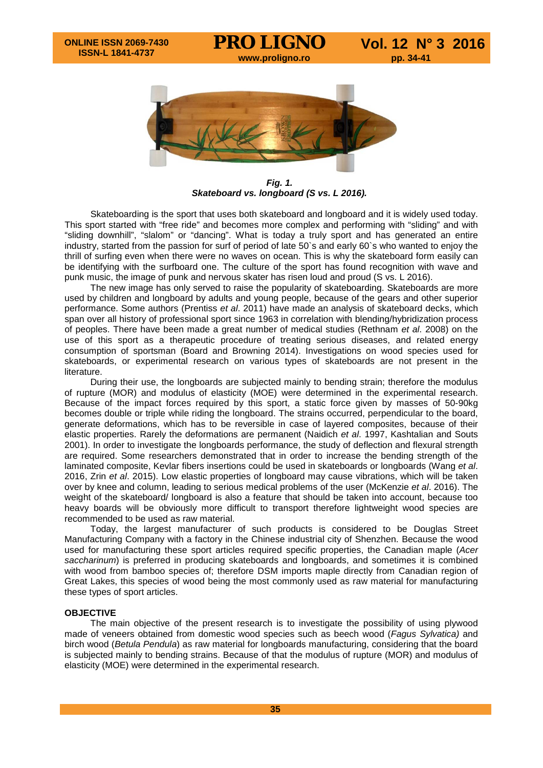

*Fig. 1. Skateboard vs. longboard (S vs. L 2016).*

Skateboarding is the sport that uses both skateboard and longboard and it is widely used today. This sport started with "free ride" and becomes more complex and performing with "sliding" and with "sliding downhill", "slalom" or "dancing". What is today a truly sport and has generated an entire industry, started from the passion for surf of period of late 50`s and early 60`s who wanted to enjoy the thrill of surfing even when there were no waves on ocean. This is why the skateboard form easily can be identifying with the surfboard one. The culture of the sport has found recognition with wave and punk music, the image of punk and nervous skater has risen loud and proud (S vs. L 2016).

The new image has only served to raise the popularity of skateboarding. Skateboards are more used by children and longboard by adults and young people, because of the gears and other superior performance. Some authors (Prentiss *et al*. 2011) have made an analysis of skateboard decks, which span over all history of professional sport since 1963 in correlation with blending/hybridization process of peoples. There have been made a great number of medical studies (Rethnam *et al*. 2008) on the use of this sport as a therapeutic procedure of treating serious diseases, and related energy consumption of sportsman (Board and Browning 2014). Investigations on wood species used for skateboards, or experimental research on various types of skateboards are not present in the literature.

During their use, the longboards are subjected mainly to bending strain; therefore the modulus of rupture (MOR) and modulus of elasticity (MOE) were determined in the experimental research. Because of the impact forces required by this sport, a static force given by masses of 50-90kg becomes double or triple while riding the longboard. The strains occurred, perpendicular to the board, generate deformations, which has to be reversible in case of layered composites, because of their elastic properties. Rarely the deformations are permanent (Naidich *et al*. 1997, Kashtalian and Souts 2001). In order to investigate the longboards performance, the study of deflection and flexural strength are required. Some researchers demonstrated that in order to increase the bending strength of the laminated composite, Kevlar fibers insertions could be used in skateboards or longboards (Wang *et al*. 2016, Zrin *et al*. 2015). Low elastic properties of longboard may cause vibrations, which will be taken over by knee and column, leading to serious medical problems of the user (McKenzie *et al*. 2016). The weight of the skateboard/ longboard is also a feature that should be taken into account, because too heavy boards will be obviously more difficult to transport therefore lightweight wood species are recommended to be used as raw material.

Today, the largest manufacturer of such products is considered to be Douglas Street Manufacturing Company with a factory in the Chinese industrial city of Shenzhen. Because the wood used for manufacturing these sport articles required specific properties, the Canadian maple (*Acer saccharinum*) is preferred in producing skateboards and longboards, and sometimes it is combined with wood from bamboo species of; therefore DSM imports maple directly from Canadian region of Great Lakes, this species of wood being the most commonly used as raw material for manufacturing these types of sport articles.

## **OBJECTIVE**

The main objective of the present research is to investigate the possibility of using plywood made of veneers obtained from domestic wood species such as beech wood (*Fagus Sylvatica)* and birch wood (*Betula Pendula*) as raw material for longboards manufacturing, considering that the board is subjected mainly to bending strains. Because of that the modulus of rupture (MOR) and modulus of elasticity (MOE) were determined in the experimental research.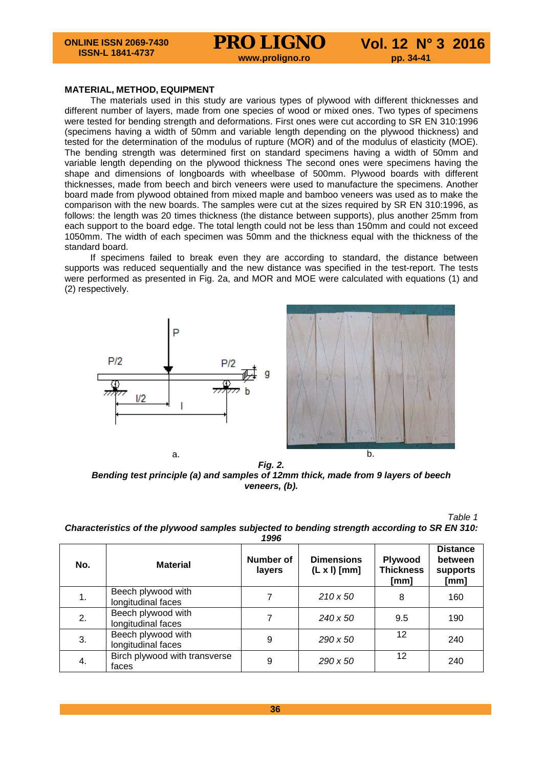**MATERIAL, METHOD, EQUIPMENT**

The materials used in this study are various types of plywood with different thicknesses and different number of layers, made from one species of wood or mixed ones. Two types of specimens were tested for bending strength and deformations. First ones were cut according to SR EN 310:1996 (specimens having a width of 50mm and variable length depending on the plywood thickness) and tested for the determination of the modulus of rupture (MOR) and of the modulus of elasticity (MOE). The bending strength was determined first on standard specimens having a width of 50mm and variable length depending on the plywood thickness The second ones were specimens having the shape and dimensions of longboards with wheelbase of 500mm. Plywood boards with different thicknesses, made from beech and birch veneers were used to manufacture the specimens. Another board made from plywood obtained from mixed maple and bamboo veneers was used as to make the comparison with the new boards. The samples were cut at the sizes required by SR EN 310:1996, as follows: the length was 20 times thickness (the distance between supports), plus another 25mm from each support to the board edge. The total length could not be less than 150mm and could not exceed 1050mm. The width of each specimen was 50mm and the thickness equal with the thickness of the standard board.

If specimens failed to break even they are according to standard, the distance between supports was reduced sequentially and the new distance was specified in the test-report. The tests were performed as presented in Fig. 2a, and MOR and MOE were calculated with equations (1) and (2) respectively.





*Fig. 2. Bending test principle (a) and samples of 12mm thick, made from 9 layers of beech veneers, (b).*

*Table 1 Characteristics of the plywood samples subjected to bending strength according to SR EN 310:* 

| No. | <b>Material</b>                          | <b>Number of</b><br>layers | <b>Dimensions</b><br>$(L \times I)$ [mm] | <b>Plywood</b><br><b>Thickness</b><br>[mm] | <b>Distance</b><br>between<br>supports<br>[mm] |
|-----|------------------------------------------|----------------------------|------------------------------------------|--------------------------------------------|------------------------------------------------|
| 1.  | Beech plywood with<br>longitudinal faces |                            | $210 \times 50$                          | 8                                          | 160                                            |
| 2.  | Beech plywood with<br>longitudinal faces |                            | 240 x 50                                 | 9.5                                        | 190                                            |
| 3.  | Beech plywood with<br>longitudinal faces | 9                          | $290 \times 50$                          | 12                                         | 240                                            |
| 4.  | Birch plywood with transverse<br>faces   | 9                          | 290 x 50                                 | 12                                         | 240                                            |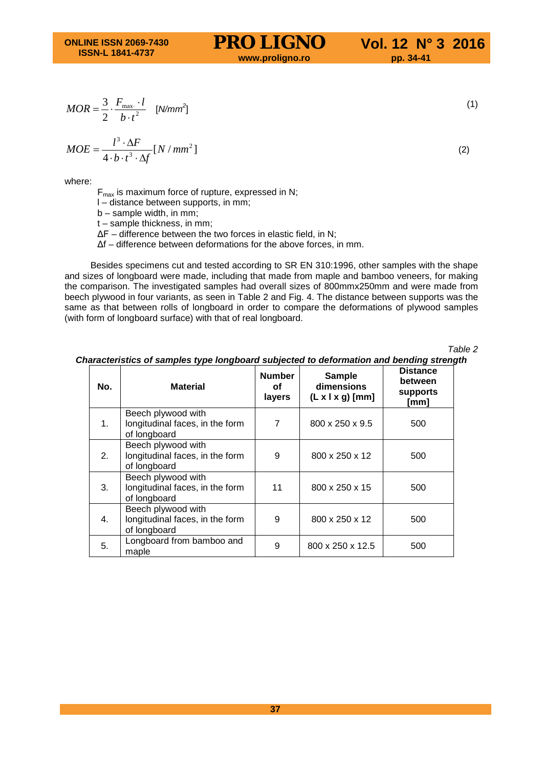$$
MOR = \frac{3}{2} \cdot \frac{F_{\text{max}} \cdot l}{b \cdot t^2} \quad [N/mm^2]
$$

$$
MOE = \frac{l^3 \cdot \Delta F}{4 \cdot b \cdot t^3 \cdot \Delta f} [N / mm^2]
$$
 (2)

where:

 $F_{\text{max}}$  is maximum force of rupture, expressed in N;

l – distance between supports, in mm;

b – sample width, in mm;

t – sample thickness, in mm;

ΔF – difference between the two forces in elastic field, in N;

Δf – difference between deformations for the above forces, in mm.

Besides specimens cut and tested according to SR EN 310:1996, other samples with the shape and sizes of longboard were made, including that made from maple and bamboo veneers, for making the comparison. The investigated samples had overall sizes of 800mmx250mm and were made from beech plywood in four variants, as seen in Table 2 and Fig. 4. The distance between supports was the same as that between rolls of longboard in order to compare the deformations of plywood samples (with form of longboard surface) with that of real longboard.

*Table 2*

| No. | <b>Material</b>                                                       | <b>Number</b><br>оf<br>layers | <b>Sample</b><br>dimensions<br>$(L x   x g)$ [mm] | <b>Distance</b><br>between<br>supports<br>[mm] |
|-----|-----------------------------------------------------------------------|-------------------------------|---------------------------------------------------|------------------------------------------------|
| 1.  | Beech plywood with<br>longitudinal faces, in the form<br>of longboard | 7                             | 800 x 250 x 9.5                                   | 500                                            |
| 2.  | Beech plywood with<br>longitudinal faces, in the form<br>of longboard | 9                             | 800 x 250 x 12                                    | 500                                            |
| 3.  | Beech plywood with<br>longitudinal faces, in the form<br>of longboard | 11                            | 800 x 250 x 15                                    | 500                                            |
| 4.  | Beech plywood with<br>longitudinal faces, in the form<br>of longboard | 9                             | 800 x 250 x 12                                    | 500                                            |
| 5.  | Longboard from bamboo and<br>maple                                    | 9                             | 800 x 250 x 12.5                                  | 500                                            |

*Characteristics of samples type longboard subjected to deformation and bending strength*

 $\left(1\right)$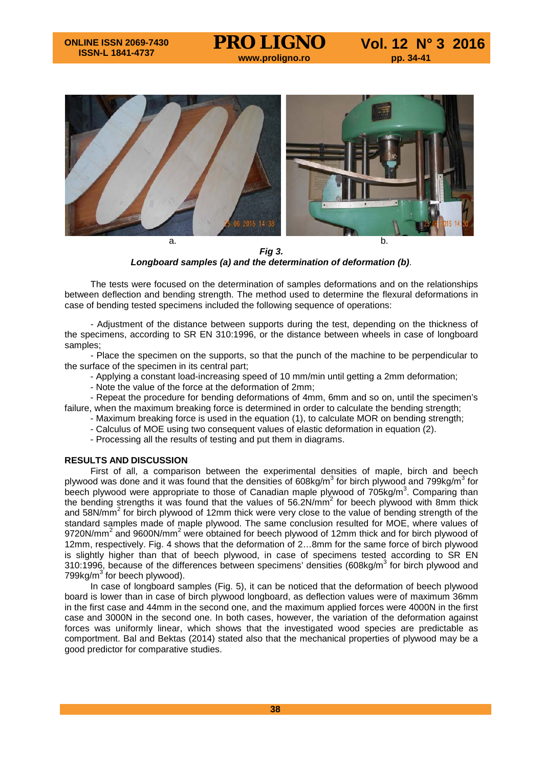

*Fig 3. Longboard samples (a) and the determination of deformation (b)*.

The tests were focused on the determination of samples deformations and on the relationships between deflection and bending strength. The method used to determine the flexural deformations in case of bending tested specimens included the following sequence of operations:

- Adjustment of the distance between supports during the test, depending on the thickness of the specimens, according to SR EN 310:1996, or the distance between wheels in case of longboard samples;

- Place the specimen on the supports, so that the punch of the machine to be perpendicular to the surface of the specimen in its central part;

- Applying a constant load-increasing speed of 10 mm/min until getting a 2mm deformation;
- Note the value of the force at the deformation of 2mm;

- Repeat the procedure for bending deformations of 4mm, 6mm and so on, until the specimen's failure, when the maximum breaking force is determined in order to calculate the bending strength;

- Maximum breaking force is used in the equation (1), to calculate MOR on bending strength;
- Calculus of MOE using two consequent values of elastic deformation in equation (2).
- Processing all the results of testing and put them in diagrams.

## **RESULTS AND DISCUSSION**

First of all, a comparison between the experimental densities of maple, birch and beech plywood was done and it was found that the densities of 608kg/m<sup>3</sup> for birch plywood and 799kg/m<sup>3</sup> for beech plywood were appropriate to those of Canadian maple plywood of  $705$ kg/m<sup>3</sup>. Comparing than the bending strengths it was found that the values of 56.2N/mm<sup>2</sup> for beech plywood with 8mm thick and 58N/mm<sup>2</sup> for birch plywood of 12mm thick were very close to the value of bending strength of the standard samples made of maple plywood. The same conclusion resulted for MOE, where values of 9720N/mm<sup>2</sup> and 9600N/mm<sup>2</sup> were obtained for beech plywood of 12mm thick and for birch plywood of 12mm, respectively. Fig. 4 shows that the deformation of 2…8mm for the same force of birch plywood is slightly higher than that of beech plywood, in case of specimens tested according to SR EN 310:1996, because of the differences between specimens' densities (608kg/ $m<sup>3</sup>$  for birch plywood and 799kg/m<sup>3</sup> for beech plywood).

In case of longboard samples (Fig. 5), it can be noticed that the deformation of beech plywood board is lower than in case of birch plywood longboard, as deflection values were of maximum 36mm in the first case and 44mm in the second one, and the maximum applied forces were 4000N in the first case and 3000N in the second one. In both cases, however, the variation of the deformation against forces was uniformly linear, which shows that the investigated wood species are predictable as comportment. Bal and Bektas (2014) stated also that the mechanical properties of plywood may be a good predictor for comparative studies.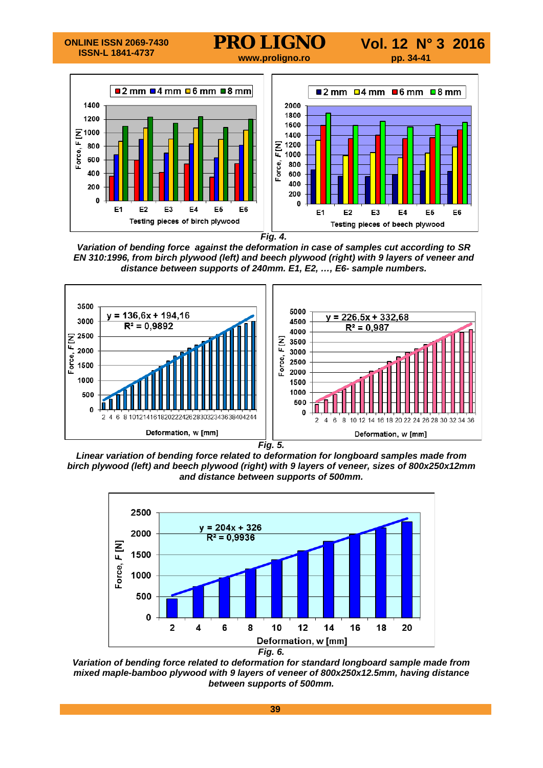

*Fig. 4.*

*Variation of bending force against the deformation in case of samples cut according to SR EN 310:1996, from birch plywood (left) and beech plywood (right) with 9 layers of veneer and distance between supports of 240mm. E1, E2, …, E6- sample numbers.* 



*Linear variation of bending force related to deformation for longboard samples made from birch plywood (left) and beech plywood (right) with 9 layers of veneer, sizes of 800x250x12mm and distance between supports of 500mm.*



*Variation of bending force related to deformation for standard longboard sample made from mixed maple-bamboo plywood with 9 layers of veneer of 800x250x12.5mm, having distance between supports of 500mm.*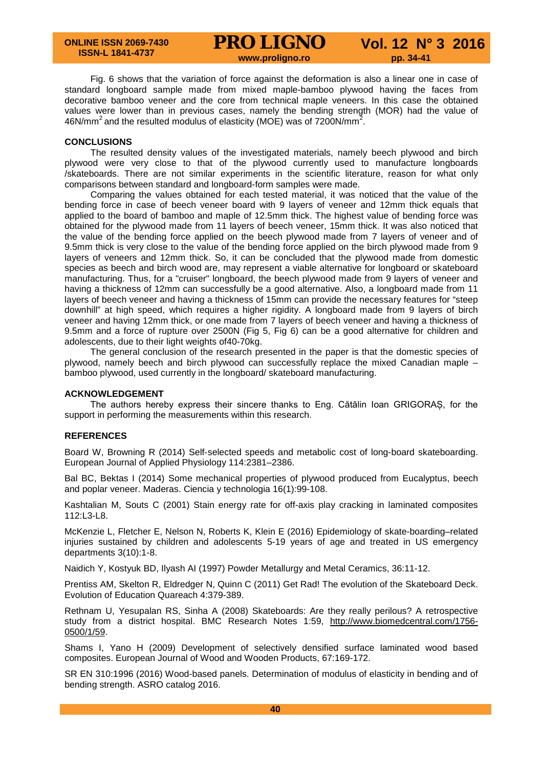Fig. 6 shows that the variation of force against the deformation is also a linear one in case of standard longboard sample made from mixed maple-bamboo plywood having the faces from decorative bamboo veneer and the core from technical maple veneers. In this case the obtained values were lower than in previous cases, namely the bending strength (MOR) had the value of 46N/mm<sup>2</sup> and the resulted modulus of elasticity (MOE) was of 7200N/mm<sup>2</sup>.

## **CONCLUSIONS**

The resulted density values of the investigated materials, namely beech plywood and birch plywood were very close to that of the plywood currently used to manufacture longboards /skateboards. There are not similar experiments in the scientific literature, reason for what only comparisons between standard and longboard-form samples were made.

Comparing the values obtained for each tested material, it was noticed that the value of the bending force in case of beech veneer board with 9 layers of veneer and 12mm thick equals that applied to the board of bamboo and maple of 12.5mm thick. The highest value of bending force was obtained for the plywood made from 11 layers of beech veneer, 15mm thick. It was also noticed that the value of the bending force applied on the beech plywood made from 7 layers of veneer and of 9.5mm thick is very close to the value of the bending force applied on the birch plywood made from 9 layers of veneers and 12mm thick. So, it can be concluded that the plywood made from domestic species as beech and birch wood are, may represent a viable alternative for longboard or skateboard manufacturing. Thus, for a "cruiser" longboard, the beech plywood made from 9 layers of veneer and having a thickness of 12mm can successfully be a good alternative. Also, a longboard made from 11 layers of beech veneer and having a thickness of 15mm can provide the necessary features for "steep downhill" at high speed, which requires a higher rigidity. A longboard made from 9 layers of birch veneer and having 12mm thick, or one made from 7 layers of beech veneer and having a thickness of 9.5mm and a force of rupture over 2500N (Fig 5, Fig 6) can be a good alternative for children and adolescents, due to their light weights of40-70kg.

The general conclusion of the research presented in the paper is that the domestic species of plywood, namely beech and birch plywood can successfully replace the mixed Canadian maple – bamboo plywood, used currently in the longboard/ skateboard manufacturing.

### **ACKNOWLEDGEMENT**

The authors hereby express their sincere thanks to Eng. Cătălin Ioan GRIGORAȘ, for the support in performing the measurements within this research.

## **REFERENCES**

Board W, Browning R (2014) Self-selected speeds and metabolic cost of long-board skateboarding. European Journal of Applied Physiology 114:2381–2386.

Bal BC, Bektas I (2014) Some mechanical properties of plywood produced from Eucalyptus, beech and poplar veneer. Maderas. Ciencia y technologia 16(1):99-108.

Kashtalian M, Souts C (2001) Stain energy rate for off-axis play cracking in laminated composites 112:L3-L8.

McKenzie L, Fletcher E, Nelson N, Roberts K, Klein E (2016) Epidemiology of skate-boarding–related injuries sustained by children and adolescents 5-19 years of age and treated in US emergency departments 3(10):1-8.

Naidich Y, Kostyuk BD, Ilyash AI (1997) Powder Metallurgy and Metal Ceramics, 36:11-12.

Prentiss AM, Skelton R, Eldredger N, Quinn C (2011) Get Rad! The evolution of the Skateboard Deck. Evolution of Education Quareach 4:379-389.

Rethnam U, Yesupalan RS, Sinha A (2008) Skateboards: Are they really perilous? A retrospective study from a district hospital. BMC Research Notes 1:59, [http://www.biomedcentral.com/1756-](http://www.biomedcentral.com/1756-0500/1/59) [0500/1/59.](http://www.biomedcentral.com/1756-0500/1/59)

Shams I, Yano H (2009) Development of selectively densified surface laminated wood based composites. European Journal of Wood and Wooden Products, 67:169-172.

SR EN 310:1996 (2016) Wood-based panels. Determination of modulus of elasticity in bending and of bending strength. ASRO catalog 2016.